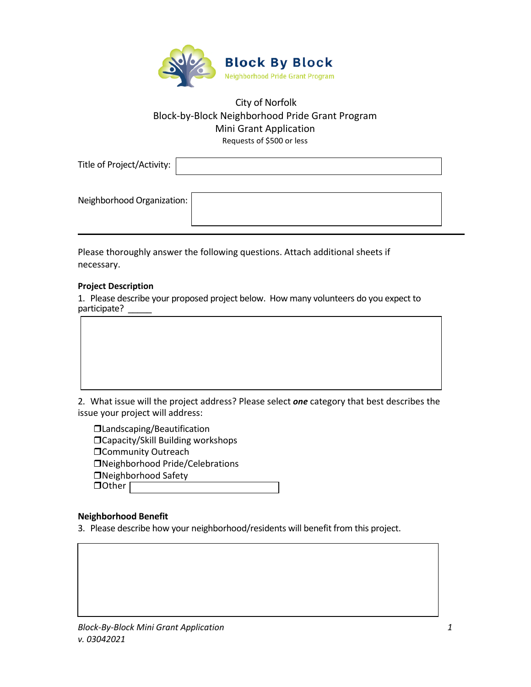

# City of Norfolk Block-by-Block Neighborhood Pride Grant Program Mini Grant Application Requests of \$500 or less

Title of Project/Activity:

Neighborhood Organization:

Please thoroughly answer the following questions. Attach additional sheets if necessary.

## **Project Description**

1. Please describe your proposed project below. How many volunteers do you expect to participate?

2. What issue will the project address? Please select *one* category that best describes the issue your project will address:

Landscaping/Beautification □Capacity/Skill Building workshops **Community Outreach** Neighborhood Pride/Celebrations Neighborhood Safety DOther |

## **Neighborhood Benefit**

3. Please describe how your neighborhood/residents will benefit from this project.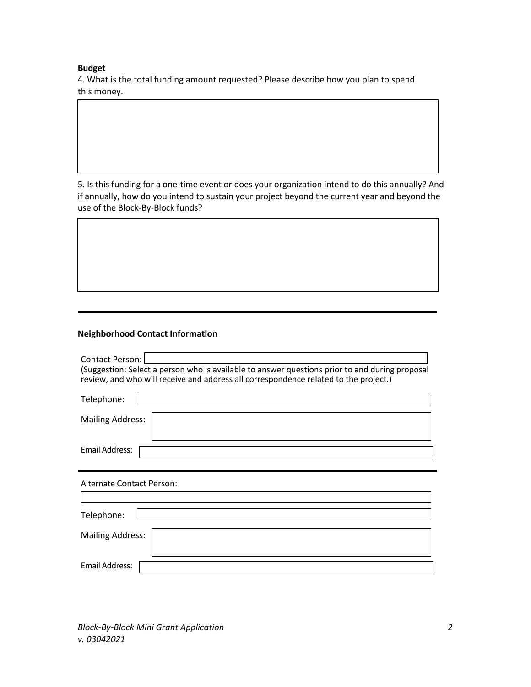#### **Budget**

4. What is the total funding amount requested? Please describe how you plan to spend this money.

5. Is this funding for a one-time event or does your organization intend to do this annually? And if annually, how do you intend to sustain your project beyond the current year and beyond the use of the Block-By-Block funds?

## **Neighborhood Contact Information**

| Contact Person:<br>(Suggestion: Select a person who is available to answer questions prior to and during proposal<br>review, and who will receive and address all correspondence related to the project.) |  |  |
|-----------------------------------------------------------------------------------------------------------------------------------------------------------------------------------------------------------|--|--|
| Telephone:                                                                                                                                                                                                |  |  |
| <b>Mailing Address:</b>                                                                                                                                                                                   |  |  |
| Email Address:                                                                                                                                                                                            |  |  |
| Alternate Contact Person:                                                                                                                                                                                 |  |  |
|                                                                                                                                                                                                           |  |  |
| Telephone:                                                                                                                                                                                                |  |  |
| <b>Mailing Address:</b>                                                                                                                                                                                   |  |  |

*Block-By-Block Mini Grant Application 2 v. 03042021* 

Email Address: